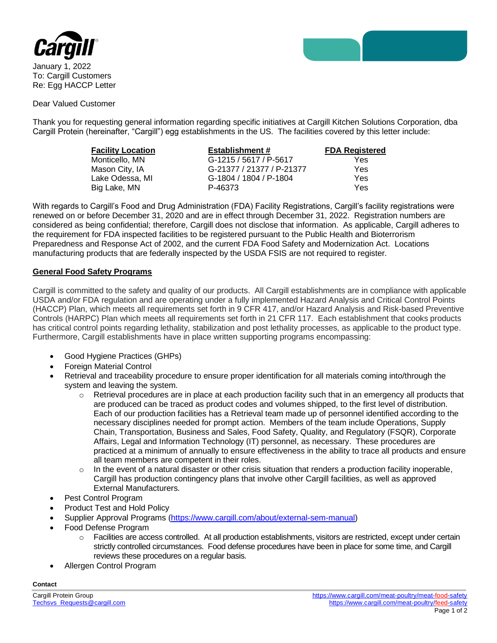

January 1, 2022 To: Cargill Customers Re: Egg HACCP Letter

Dear Valued Customer

Thank you for requesting general information regarding specific initiatives at Cargill Kitchen Solutions Corporation, dba Cargill Protein (hereinafter, "Cargill") egg establishments in the US. The facilities covered by this letter include:

| <b>Facility Location</b> | <b>Establishment #</b>    | <b>FDA Registered</b> |
|--------------------------|---------------------------|-----------------------|
| Monticello, MN           | G-1215 / 5617 / P-5617    | Yes                   |
| Mason City, IA           | G-21377 / 21377 / P-21377 | Yes                   |
| Lake Odessa, MI          | G-1804 / 1804 / P-1804    | Yes                   |
| Big Lake, MN             | P-46373                   | Yes                   |

With regards to Cargill's Food and Drug Administration (FDA) Facility Registrations, Cargill's facility registrations were renewed on or before December 31, 2020 and are in effect through December 31, 2022. Registration numbers are considered as being confidential; therefore, Cargill does not disclose that information. As applicable, Cargill adheres to the requirement for FDA inspected facilities to be registered pursuant to the Public Health and Bioterrorism Preparedness and Response Act of 2002, and the current FDA Food Safety and Modernization Act. Locations manufacturing products that are federally inspected by the USDA FSIS are not required to register.

## **General Food Safety Programs**

Cargill is committed to the safety and quality of our products. All Cargill establishments are in compliance with applicable USDA and/or FDA regulation and are operating under a fully implemented Hazard Analysis and Critical Control Points (HACCP) Plan, which meets all requirements set forth in 9 CFR 417, and/or Hazard Analysis and Risk-based Preventive Controls (HARPC) Plan which meets all requirements set forth in 21 CFR 117. Each establishment that cooks products has critical control points regarding lethality, stabilization and post lethality processes, as applicable to the product type. Furthermore, Cargill establishments have in place written supporting programs encompassing:

- Good Hygiene Practices (GHPs)
- Foreign Material Control
- Retrieval and traceability procedure to ensure proper identification for all materials coming into/through the system and leaving the system.
	- $\circ$  Retrieval procedures are in place at each production facility such that in an emergency all products that are produced can be traced as product codes and volumes shipped, to the first level of distribution. Each of our production facilities has a Retrieval team made up of personnel identified according to the necessary disciplines needed for prompt action. Members of the team include Operations, Supply Chain, Transportation, Business and Sales, Food Safety, Quality, and Regulatory (FSQR), Corporate Affairs, Legal and Information Technology (IT) personnel, as necessary. These procedures are practiced at a minimum of annually to ensure effectiveness in the ability to trace all products and ensure all team members are competent in their roles.
	- $\circ$  In the event of a natural disaster or other crisis situation that renders a production facility inoperable, Cargill has production contingency plans that involve other Cargill facilities, as well as approved External Manufacturers.
- Pest Control Program
- Product Test and Hold Policy
- Supplier Approval Programs [\(https://www.cargill.com/about/external-sem-manual\)](https://www.cargill.com/about/external-sem-manual)
- Food Defense Program
	- o Facilities are access controlled. At all production establishments, visitors are restricted, except under certain strictly controlled circumstances. Food defense procedures have been in place for some time, and Cargill reviews these procedures on a regular basis.
- Allergen Control Program

**Contact**